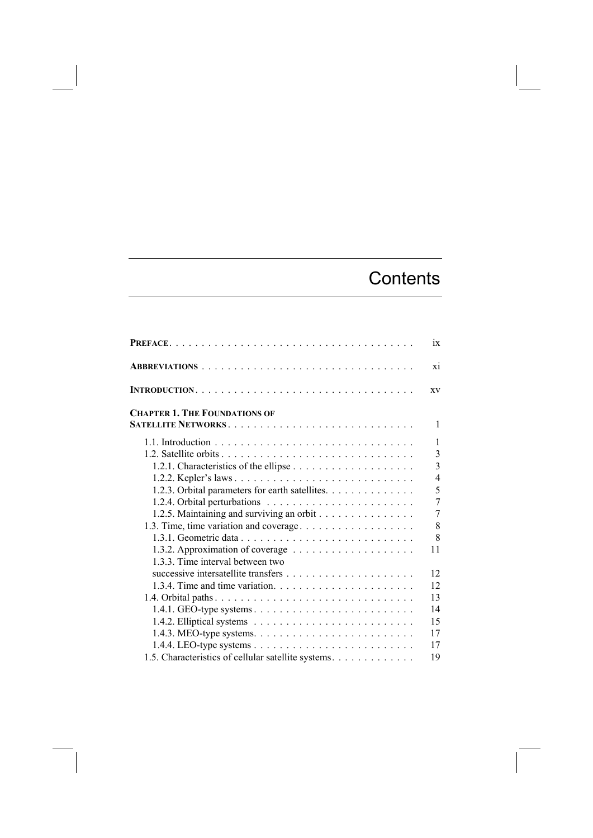## **Contents**

|                                                                                    | $\overline{1}X$ |
|------------------------------------------------------------------------------------|-----------------|
|                                                                                    | X1              |
|                                                                                    | XV              |
| <b>CHAPTER 1. THE FOUNDATIONS OF</b>                                               |                 |
|                                                                                    | 1               |
|                                                                                    | 1               |
|                                                                                    | $\overline{3}$  |
|                                                                                    | $\overline{3}$  |
|                                                                                    | $\overline{4}$  |
| 1.2.3. Orbital parameters for earth satellites.                                    | 5               |
|                                                                                    | $\overline{7}$  |
| 1.2.5. Maintaining and surviving an orbit                                          | 7               |
| 1.3. Time, time variation and coverage                                             | 8               |
|                                                                                    | 8               |
|                                                                                    | 11              |
| 133 Time interval between two                                                      |                 |
|                                                                                    | 12              |
| 1.3.4. Time and time variation. $\ldots \ldots \ldots \ldots \ldots \ldots \ldots$ | 12              |
|                                                                                    | 13              |
|                                                                                    | 14              |
|                                                                                    | 15              |
|                                                                                    | 17              |
|                                                                                    | 17              |
| 1.5. Characteristics of cellular satellite systems.                                | 19              |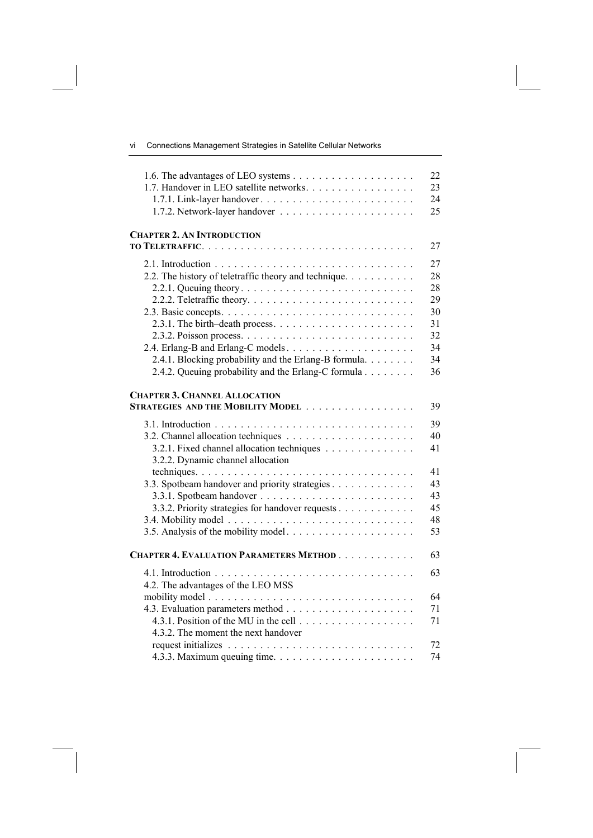vi Connections Management Strategies in Satellite Cellular Networks

| 1.7. Handover in LEO satellite networks.                                                                                                                                                                                     | 22<br>23<br>24<br>25                                     |
|------------------------------------------------------------------------------------------------------------------------------------------------------------------------------------------------------------------------------|----------------------------------------------------------|
| <b>CHAPTER 2. AN INTRODUCTION</b>                                                                                                                                                                                            | 27                                                       |
| 2.2. The history of teletraffic theory and technique.<br>2.4.1. Blocking probability and the Erlang-B formula.<br>2.4.2. Queuing probability and the Erlang-C formula                                                        | 27<br>28<br>28<br>29<br>30<br>31<br>32<br>34<br>34<br>36 |
| <b>CHAPTER 3. CHANNEL ALLOCATION</b><br>STRATEGIES AND THE MOBILITY MODEL                                                                                                                                                    | 39                                                       |
| 3.2.1. Fixed channel allocation techniques<br>3.2.2. Dynamic channel allocation<br>3.3. Spotbeam handover and priority strategies<br>3.3.2. Priority strategies for handover requests<br>3.5. Analysis of the mobility model | 39<br>40<br>41<br>41<br>43<br>43<br>45<br>48<br>53       |
| <b>CHAPTER 4. EVALUATION PARAMETERS METHOD</b>                                                                                                                                                                               | 63                                                       |
| 4.2. The advantages of the LEO MSS                                                                                                                                                                                           | 63                                                       |
| 4.3.2. The moment the next handover                                                                                                                                                                                          | 64<br>71<br>71                                           |
|                                                                                                                                                                                                                              | 72<br>74                                                 |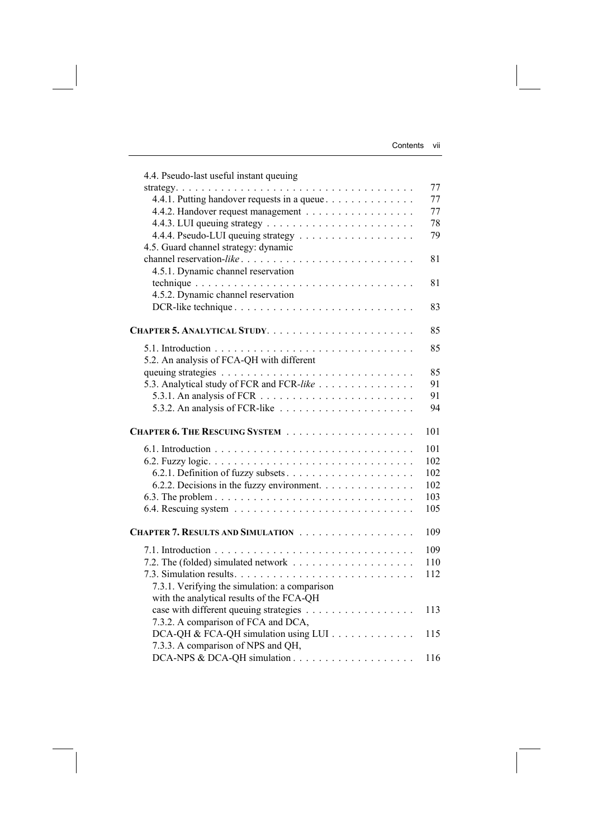| 4.4. Pseudo-last useful instant queuing                                    |     |
|----------------------------------------------------------------------------|-----|
|                                                                            | 77  |
| 4.4.1. Putting handover requests in a queue                                | 77  |
|                                                                            | 77  |
|                                                                            | 78  |
|                                                                            | 79  |
| 4.5. Guard channel strategy: dynamic                                       |     |
| channel reservation-like                                                   | 81  |
| 4.5.1. Dynamic channel reservation                                         |     |
|                                                                            | 81  |
| 4.5.2. Dynamic channel reservation                                         |     |
|                                                                            | 83  |
|                                                                            | 85  |
|                                                                            | 85  |
| 5.2. An analysis of FCA-QH with different                                  |     |
|                                                                            | 85  |
| 5.3. Analytical study of FCR and FCR-like                                  | 91  |
|                                                                            | 91  |
| 5.3.2. An analysis of FCR-like $\ldots \ldots \ldots \ldots \ldots \ldots$ | 94  |
|                                                                            | 101 |
|                                                                            | 101 |
|                                                                            | 102 |
| 6.2.1. Definition of fuzzy subsets                                         | 102 |
| 6.2.2. Decisions in the fuzzy environment.                                 | 102 |
|                                                                            | 103 |
|                                                                            | 105 |
|                                                                            | 109 |
|                                                                            | 109 |
|                                                                            | 110 |
|                                                                            | 112 |
| 7.3.1. Verifying the simulation: a comparison                              |     |
| with the analytical results of the FCA-QH                                  |     |
|                                                                            | 113 |
| 7.3.2. A comparison of FCA and DCA,                                        |     |
| DCA-QH & FCA-QH simulation using LUI                                       | 115 |
| 7.3.3. A comparison of NPS and QH,                                         |     |
| DCA-NPS & DCA-QH simulation                                                | 116 |
|                                                                            |     |